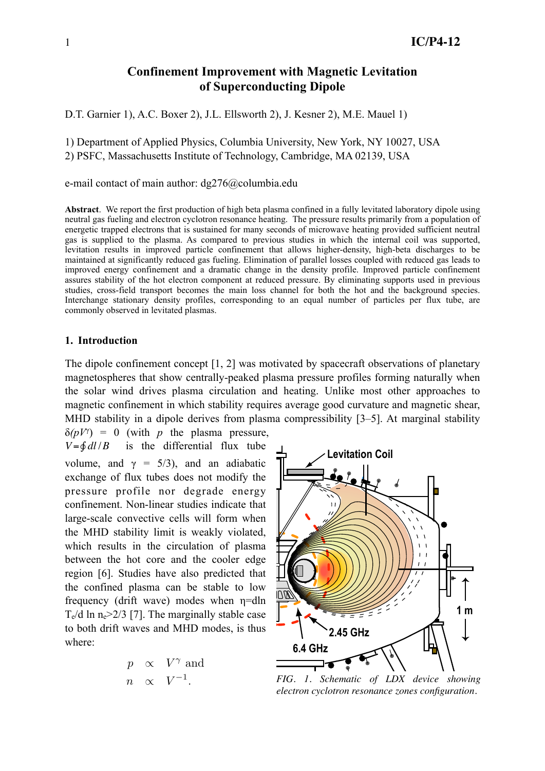# **Confinement Improvement with Magnetic Levitation of Superconducting Dipole**

D.T. Garnier 1), A.C. Boxer 2), J.L. Ellsworth 2), J. Kesner 2), M.E. Mauel 1)

1) Department of Applied Physics, Columbia University, New York, NY 10027, USA

2) PSFC, Massachusetts Institute of Technology, Cambridge, MA 02139, USA

e-mail contact of main author: dg276@columbia.edu

**Abstract**. We report the first production of high beta plasma confined in a fully levitated laboratory dipole using neutral gas fueling and electron cyclotron resonance heating. The pressure results primarily from a population of energetic trapped electrons that is sustained for many seconds of microwave heating provided sufficient neutral gas is supplied to the plasma. As compared to previous studies in which the internal coil was supported, levitation results in improved particle confinement that allows higher-density, high-beta discharges to be maintained at significantly reduced gas fueling. Elimination of parallel losses coupled with reduced gas leads to improved energy confinement and a dramatic change in the density profile. Improved particle confinement assures stability of the hot electron component at reduced pressure. By eliminating supports used in previous studies, cross-field transport becomes the main loss channel for both the hot and the background species. Interchange stationary density profiles, corresponding to an equal number of particles per flux tube, are commonly observed in levitated plasmas.

### **1. Introduction**

The dipole confinement concept [1, 2] was motivated by spacecraft observations of planetary magnetospheres that show centrally-peaked plasma pressure profiles forming naturally when the solar wind drives plasma circulation and heating. Unlike most other approaches to magnetic confinement in which stability requires average good curvature and magnetic shear, MHD stability in a dipole derives from plasma compressibility [3–5]. At marginal stability  $\delta(pV^{\gamma}) = 0$  (with *p* the plasma pressure,



*FIG. 1. Schematic of LDX device showing electron cyclotron resonance zones configuration.*

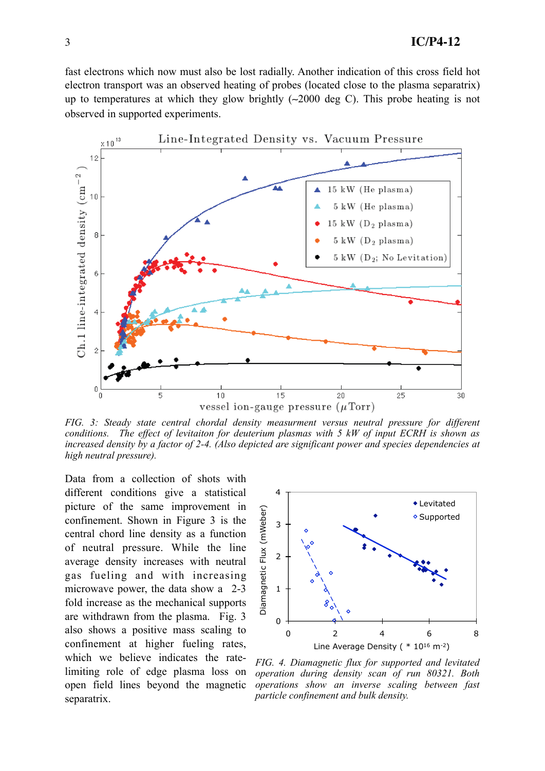fast electrons which now must also be lost radially. Another indication of this cross field hot electron transport was an observed heating of probes (located close to the plasma separatrix) up to temperatures at which they glow brightly (∼2000 deg C). This probe heating is not observed in supported experiments.



*FIG. 3: Steady state central chordal density measurment versus neutral pressure for different conditions. The effect of levitaiton for deuterium plasmas with 5 kW of input ECRH is shown as increased density by a factor of 2-4. (Also depicted are significant power and species dependencies at high neutral pressure).*

Data from a collection of shots with different conditions give a statistical picture of the same improvement in confinement. Shown in Figure 3 is the central chord line density as a function of neutral pressure. While the line average density increases with neutral gas fueling and with increasing microwave power, the data show a 2-3 fold increase as the mechanical supports are withdrawn from the plasma. Fig. 3 also shows a positive mass scaling to confinement at higher fueling rates, which we believe indicates the ratelimiting role of edge plasma loss on open field lines beyond the magnetic separatrix.



*FIG. 4. Diamagnetic flux for supported and levitated operation during density scan of run 80321. Both operations show an inverse scaling between fast particle confinement and bulk density.*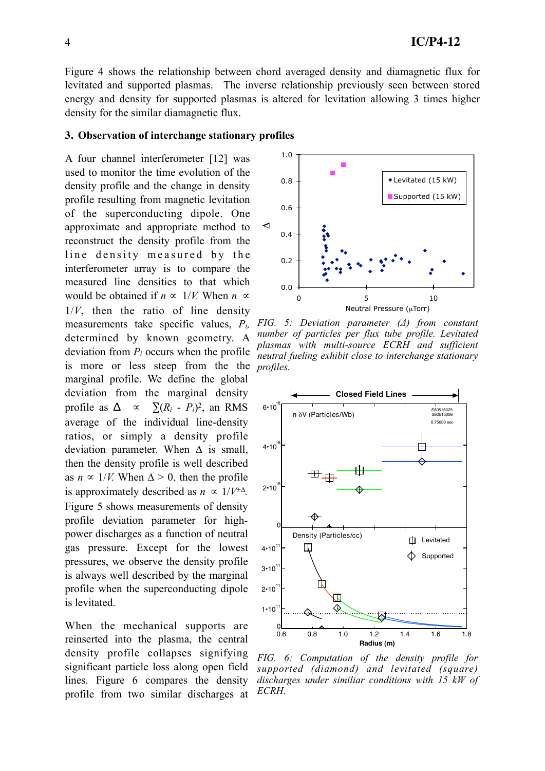Figure 4 shows the relationship between chord averaged density and diamagnetic flux for levitated and supported plasmas. The inverse relationship previously seen between stored energy and density for supported plasmas is altered for levitation allowing 3 times higher density for the similar diamagnetic flux.

#### **3. Observation of interchange stationary profiles**

A four channel interferometer [12] was used to monitor the time evolution of the density profile and the change in density profile resulting from magnetic levitation of the superconducting dipole. One approximate and appropriate method to reconstruct the density profile from the line density measured by the interferometer array is to compare the measured line densities to that which would be obtained if  $n \propto 1/V$ . When  $n \propto \frac{1}{V}$  $1/V$ , then the ratio of line density measurements take specific values, *Pi,* determined by known geometry. A deviation from *Pi* occurs when the profile is more or less steep from the the marginal profile. We define the global deviation from the marginal density profile as  $\Delta \propto \sum (R_i - P_i)^2$ , an RMS average of the individual line-density ratios, or simply a density profile deviation parameter. When  $\Delta$  is small, then the density profile is well described as  $n \propto 1/V$ . When  $\Delta > 0$ , then the profile is approximately described as  $n \propto 1/V^{\pm \Delta}$ . Figure 5 shows measurements of density profile deviation parameter for highpower discharges as a function of neutral gas pressure. Except for the lowest pressures, we observe the density profile is always well described by the marginal profile when the superconducting dipole is levitated.

When the mechanical supports are reinserted into the plasma, the central density profile collapses signifying significant particle loss along open field lines. Figure 6 compares the density profile from two similar discharges at



*FIG. 5: Deviation parameter (Δ) from constant number of particles per flux tube profile. Levitated plasmas with multi-source ECRH and sufficient neutral fueling exhibit close to interchange stationary profiles.*



*FIG. 6: Computation of the density profile for supported (diamond) and levitated (square) discharges under similiar conditions with 15 kW of ECRH.*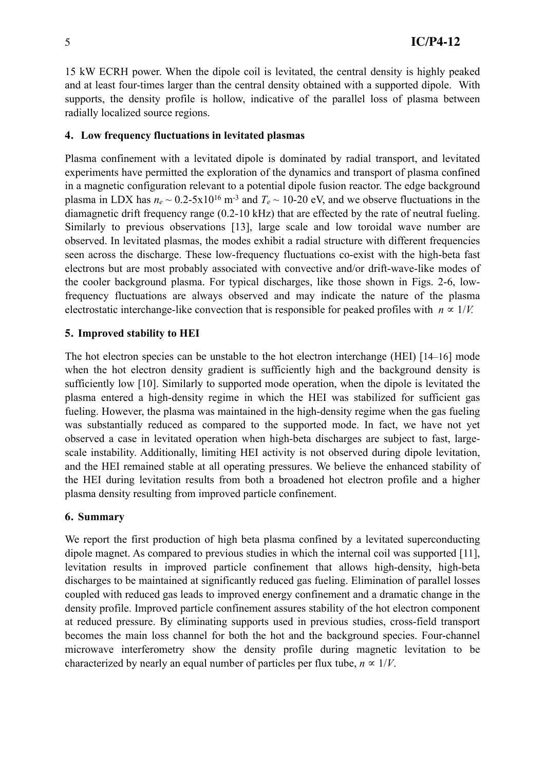15 kW ECRH power. When the dipole coil is levitated, the central density is highly peaked and at least four-times larger than the central density obtained with a supported dipole. With supports, the density profile is hollow, indicative of the parallel loss of plasma between radially localized source regions.

#### **4. Low frequency fluctuations in levitated plasmas**

Plasma confinement with a levitated dipole is dominated by radial transport, and levitated experiments have permitted the exploration of the dynamics and transport of plasma confined in a magnetic configuration relevant to a potential dipole fusion reactor. The edge background plasma in LDX has  $n_e \sim 0.2-5x10^{16}$  m<sup>-3</sup> and  $T_e \sim 10-20$  eV, and we observe fluctuations in the diamagnetic drift frequency range (0.2-10 kHz) that are effected by the rate of neutral fueling. Similarly to previous observations [13], large scale and low toroidal wave number are observed. In levitated plasmas, the modes exhibit a radial structure with different frequencies seen across the discharge. These low-frequency fluctuations co-exist with the high-beta fast electrons but are most probably associated with convective and/or drift-wave-like modes of the cooler background plasma. For typical discharges, like those shown in Figs. 2-6, lowfrequency fluctuations are always observed and may indicate the nature of the plasma electrostatic interchange-like convection that is responsible for peaked profiles with  $n \propto 1/V$ .

#### **5. Improved stability to HEI**

The hot electron species can be unstable to the hot electron interchange (HEI) [14–16] mode when the hot electron density gradient is sufficiently high and the background density is sufficiently low [10]. Similarly to supported mode operation, when the dipole is levitated the plasma entered a high-density regime in which the HEI was stabilized for sufficient gas fueling. However, the plasma was maintained in the high-density regime when the gas fueling was substantially reduced as compared to the supported mode. In fact, we have not yet observed a case in levitated operation when high-beta discharges are subject to fast, largescale instability. Additionally, limiting HEI activity is not observed during dipole levitation, and the HEI remained stable at all operating pressures. We believe the enhanced stability of the HEI during levitation results from both a broadened hot electron profile and a higher plasma density resulting from improved particle confinement.

#### **6. Summary**

We report the first production of high beta plasma confined by a levitated superconducting dipole magnet. As compared to previous studies in which the internal coil was supported [11], levitation results in improved particle confinement that allows high-density, high-beta discharges to be maintained at significantly reduced gas fueling. Elimination of parallel losses coupled with reduced gas leads to improved energy confinement and a dramatic change in the density profile. Improved particle confinement assures stability of the hot electron component at reduced pressure. By eliminating supports used in previous studies, cross-field transport becomes the main loss channel for both the hot and the background species. Four-channel microwave interferometry show the density profile during magnetic levitation to be characterized by nearly an equal number of particles per flux tube,  $n \propto 1/V$ .